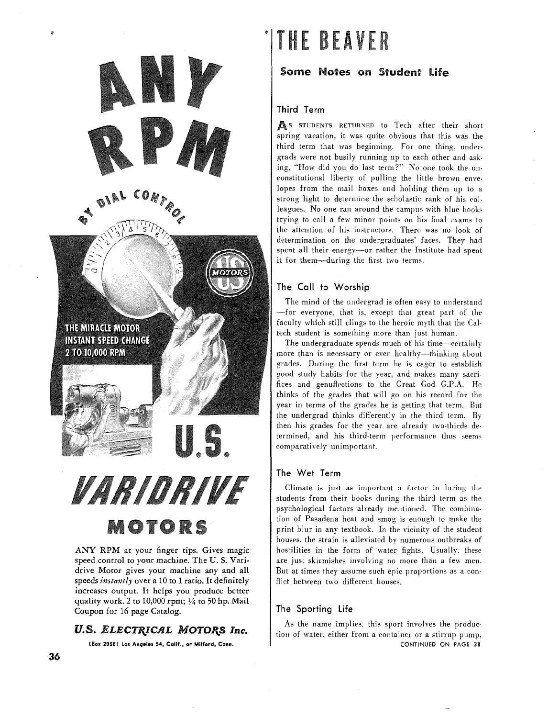

speed control to your machine. The U. S. Varidrive Motor gives your machine any and all speeds *instantly* over a 10 to 1 ratio. It definitely increases output. It helps you produce better quality work. 2 to 10,000 rpm; **1/4** to 50 hp. Mail Coupon for 16-page Catalog.

# U.S. ELECTRICAL MOTORS Inc.

**(Box 20581 Los Angeles 54, Calif., or Milford, Conn.** 

# **THE BEAVER**

Some Notes on Student Life

## Third Term

As STUDENTS RETURNED to Tech after their short spring vacation. it was quite obvious that this was the third term that was beginning. For one thing. undergrads were not busily running up to each other and asking, "'How did you do last term?'" No one took the unconstitutional liberty of pulling the little brown envelopes from the mail boxes and holding them up to a strong light to determine the scholastic rank of his colleagues. No one ran around the campus with blue books trying to call a few minor points on his final exams to the attention of his instructors. There was no look of determination on the undergraduates' faces. They had spent all their energy-or rather the Institute had spent it for them--during the first two terms.

## The Call to Worship

The mind of the undergrad is often easy to understand -for everyone. that is. except that great part of the faculty which still clings to the heroic myth that the Caltech student is something more than jusi human.

The undergraduate spends much of his time-certainly more than is necessary or even healthy-thinking about grades. During the first term he is eager to establish good study habits for the year. and makes many sacrifices and genuflections to the Great God **G.P.A.** He thinks of the grades that will go on his record for ihe year in terms of the grades he is getting that term. But the undergrad thinks differently in the third term. By then his grades for the year are already two-thirds determined, and his third-term performance thus seems comparatively unimportant.

## The Wet Term

Climate is just as important a factor in luring the students from their books during the third term as the psychological factors already mentioned. The combination of Pasadena heat and smog is enough to make the print blur in any textbook. In the vicinity of the student houses, the strain is alleviated by numerous outbreaks of hostilities in the form of uater fights. Usually. these are just skirmishes involving no more than a feu men. But at times they assume such epic proportions as a conflict between two different houses.

#### The Sporting Life

As the name implies. this sport involves the production of water. either from a container or a stirrup pump. CONTINUED **ON PAGE 38** 

ø